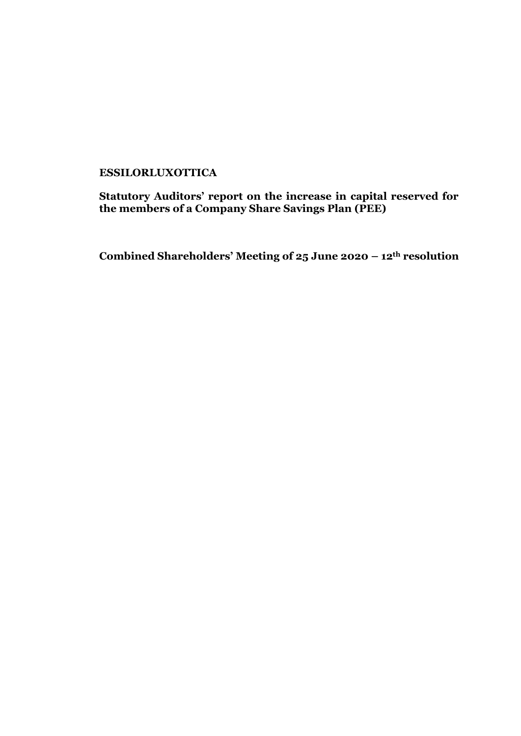# **ESSILORLUXOTTICA**

**Statutory Auditors' report on the increase in capital reserved for the members of a Company Share Savings Plan (PEE)**

**Combined Shareholders' Meeting of 25 June 2020 – 12th resolution**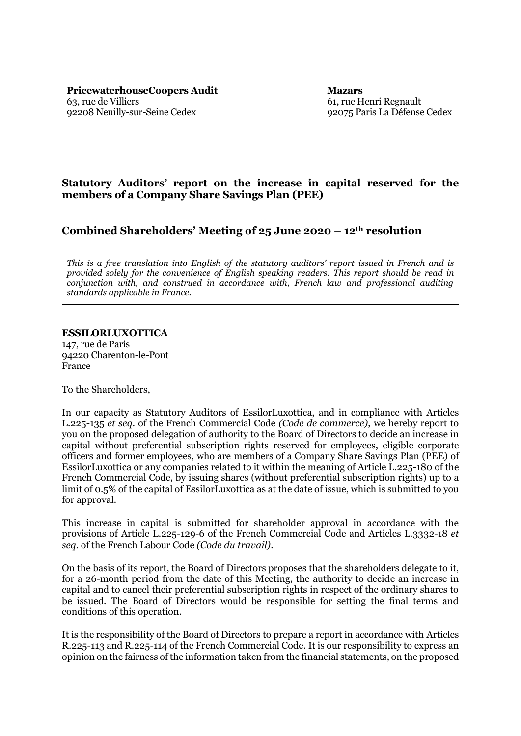**PricewaterhouseCoopers Audit Mazars** 63, rue de Villiers 92208 Neuilly-sur-Seine Cedex

61, rue Henri Regnault 92075 Paris La Défense Cedex

## **Statutory Auditors' report on the increase in capital reserved for the members of a Company Share Savings Plan (PEE)**

## **Combined Shareholders' Meeting of 25 June 2020 – 12th resolution**

*This is a free translation into English of the statutory auditors' report issued in French and is provided solely for the convenience of English speaking readers. This report should be read in conjunction with, and construed in accordance with, French law and professional auditing standards applicable in France.*

#### **ESSILORLUXOTTICA**

147, rue de Paris 94220 Charenton-le-Pont France

To the Shareholders,

In our capacity as Statutory Auditors of EssilorLuxottica, and in compliance with Articles L.225-135 *et seq.* of the French Commercial Code *(Code de commerce)*, we hereby report to you on the proposed delegation of authority to the Board of Directors to decide an increase in capital without preferential subscription rights reserved for employees, eligible corporate officers and former employees, who are members of a Company Share Savings Plan (PEE) of EssilorLuxottica or any companies related to it within the meaning of Article L.225-180 of the French Commercial Code, by issuing shares (without preferential subscription rights) up to a limit of 0.5% of the capital of EssilorLuxottica as at the date of issue, which is submitted to you for approval.

This increase in capital is submitted for shareholder approval in accordance with the provisions of Article L.225-129-6 of the French Commercial Code and Articles L.3332-18 *et seq.* of the French Labour Code *(Code du travail)*.

On the basis of its report, the Board of Directors proposes that the shareholders delegate to it, for a 26-month period from the date of this Meeting, the authority to decide an increase in capital and to cancel their preferential subscription rights in respect of the ordinary shares to be issued. The Board of Directors would be responsible for setting the final terms and conditions of this operation.

It is the responsibility of the Board of Directors to prepare a report in accordance with Articles R.225-113 and R.225-114 of the French Commercial Code. It is our responsibility to express an opinion on the fairness of the information taken from the financial statements, on the proposed